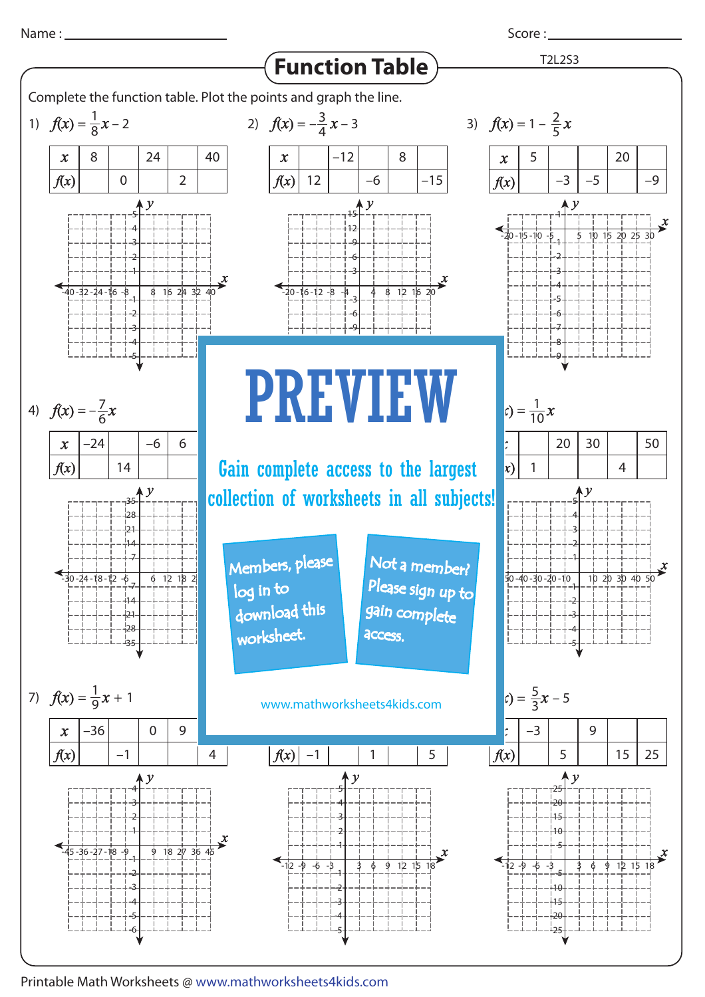Score : \_\_\_\_\_\_\_



Printable Math Worksheets @ www.mathworksheets4kids.com